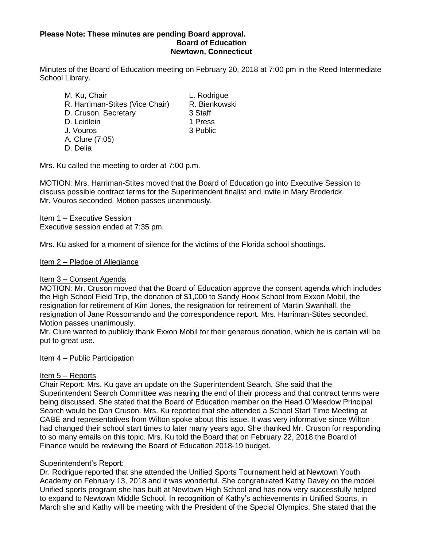## **Please Note: These minutes are pending Board approval. Board of Education Newtown, Connecticut**

Minutes of the Board of Education meeting on February 20, 2018 at 7:00 pm in the Reed Intermediate School Library.

M. Ku, Chair **L. Rodrigue** R. Harriman-Stites (Vice Chair) R. Bienkowski D. Cruson, Secretary 3 Staff

- D. Leidlein 1 Press
- J. Vouros 3 Public
- A. Clure (7:05)
- D. Delia

Mrs. Ku called the meeting to order at 7:00 p.m.

MOTION: Mrs. Harriman-Stites moved that the Board of Education go into Executive Session to discuss possible contract terms for the Superintendent finalist and invite in Mary Broderick. Mr. Vouros seconded. Motion passes unanimously.

Item 1 – Executive Session Executive session ended at 7:35 pm.

Mrs. Ku asked for a moment of silence for the victims of the Florida school shootings.

Item 2 – Pledge of Allegiance

### Item 3 – Consent Agenda

MOTION: Mr. Cruson moved that the Board of Education approve the consent agenda which includes the High School Field Trip, the donation of \$1,000 to Sandy Hook School from Exxon Mobil, the resignation for retirement of Kim Jones, the resignation for retirement of Martin Swanhall, the resignation of Jane Rossomando and the correspondence report. Mrs. Harriman-Stites seconded. Motion passes unanimously.

Mr. Clure wanted to publicly thank Exxon Mobil for their generous donation, which he is certain will be put to great use.

### Item 4 – Public Participation

# Item 5 – Reports

Chair Report: Mrs. Ku gave an update on the Superintendent Search. She said that the Superintendent Search Committee was nearing the end of their process and that contract terms were being discussed. She stated that the Board of Education member on the Head O'Meadow Principal Search would be Dan Cruson. Mrs. Ku reported that she attended a School Start Time Meeting at CABE and representatives from Wilton spoke about this issue. It was very informative since Wilton had changed their school start times to later many years ago. She thanked Mr. Cruson for responding to so many emails on this topic. Mrs. Ku told the Board that on February 22, 2018 the Board of Finance would be reviewing the Board of Education 2018-19 budget.

### Superintendent's Report:

Dr. Rodrigue reported that she attended the Unified Sports Tournament held at Newtown Youth Academy on February 13, 2018 and it was wonderful. She congratulated Kathy Davey on the model Unified sports program she has built at Newtown High School and has now very successfully helped to expand to Newtown Middle School. In recognition of Kathy's achievements in Unified Sports, in March she and Kathy will be meeting with the President of the Special Olympics. She stated that the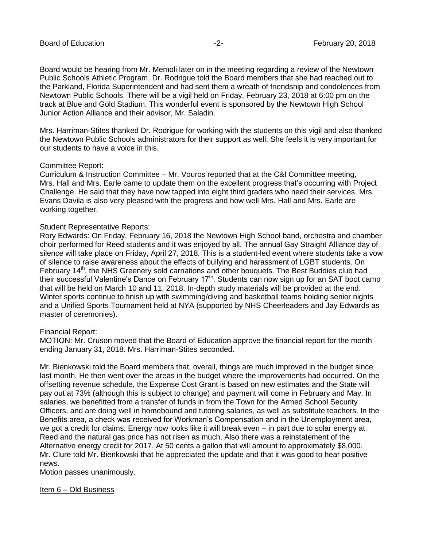Board would be hearing from Mr. Memoli later on in the meeting regarding a review of the Newtown Public Schools Athletic Program. Dr. Rodrigue told the Board members that she had reached out to the Parkland, Florida Superintendent and had sent them a wreath of friendship and condolences from Newtown Public Schools. There will be a vigil held on Friday, February 23, 2018 at 6:00 pm on the track at Blue and Gold Stadium. This wonderful event is sponsored by the Newtown High School Junior Action Alliance and their advisor, Mr. Saladin.

Mrs. Harriman-Stites thanked Dr. Rodrigue for working with the students on this vigil and also thanked the Newtown Public Schools administrators for their support as well. She feels it is very important for our students to have a voice in this.

#### Committee Report:

Curriculum & Instruction Committee – Mr. Vouros reported that at the C&I Committee meeting, Mrs. Hall and Mrs. Earle came to update them on the excellent progress that's occurring with Project Challenge. He said that they have now tapped into eight third graders who need their services. Mrs. Evans Davila is also very pleased with the progress and how well Mrs. Hall and Mrs. Earle are working together.

#### Student Representative Reports:

Rory Edwards: On Friday, February 16, 2018 the Newtown High School band, orchestra and chamber choir performed for Reed students and it was enjoyed by all. The annual Gay Straight Alliance day of silence will take place on Friday, April 27, 2018. This is a student-led event where students take a vow of silence to raise awareness about the effects of bullying and harassment of LGBT students. On February 14<sup>th</sup>, the NHS Greenery sold carnations and other bouquets. The Best Buddies club had their successful Valentine's Dance on February  $17<sup>th</sup>$ . Students can now sign up for an SAT boot camp that will be held on March 10 and 11, 2018. In-depth study materials will be provided at the end. Winter sports continue to finish up with swimming/diving and basketball teams holding senior nights and a Unified Sports Tournament held at NYA (supported by NHS Cheerleaders and Jay Edwards as master of ceremonies).

#### Financial Report:

MOTION: Mr. Cruson moved that the Board of Education approve the financial report for the month ending January 31, 2018. Mrs. Harriman-Stites seconded.

Mr. Bienkowski told the Board members that, overall, things are much improved in the budget since last month. He then went over the areas in the budget where the improvements had occurred. On the offsetting revenue schedule, the Expense Cost Grant is based on new estimates and the State will pay out at 73% (although this is subject to change) and payment will come in February and May. In salaries, we benefitted from a transfer of funds in from the Town for the Armed School Security Officers, and are doing well in homebound and tutoring salaries, as well as substitute teachers. In the Benefits area, a check was received for Workman's Compensation and in the Unemployment area, we got a credit for claims. Energy now looks like it will break even – in part due to solar energy at Reed and the natural gas price has not risen as much. Also there was a reinstatement of the Alternative energy credit for 2017. At 50 cents a gallon that will amount to approximately \$8,000. Mr. Clure told Mr. Bienkowski that he appreciated the update and that it was good to hear positive news.

Motion passes unanimously.

Item 6 – Old Business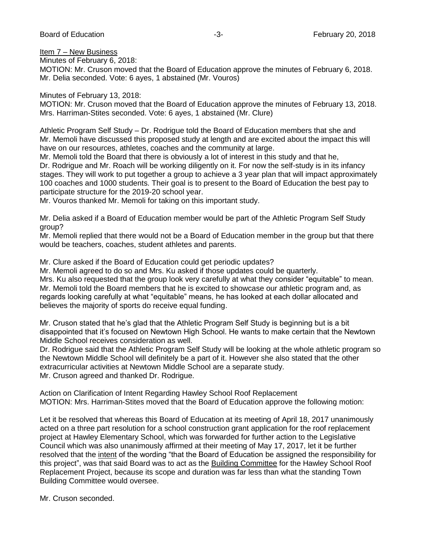## Item 7 – New Business

Minutes of February 6, 2018:

MOTION: Mr. Cruson moved that the Board of Education approve the minutes of February 6, 2018. Mr. Delia seconded. Vote: 6 ayes, 1 abstained (Mr. Vouros)

Minutes of February 13, 2018:

MOTION: Mr. Cruson moved that the Board of Education approve the minutes of February 13, 2018. Mrs. Harriman-Stites seconded. Vote: 6 ayes, 1 abstained (Mr. Clure)

Athletic Program Self Study – Dr. Rodrigue told the Board of Education members that she and Mr. Memoli have discussed this proposed study at length and are excited about the impact this will have on our resources, athletes, coaches and the community at large.

Mr. Memoli told the Board that there is obviously a lot of interest in this study and that he, Dr. Rodrigue and Mr. Roach will be working diligently on it. For now the self-study is in its infancy stages. They will work to put together a group to achieve a 3 year plan that will impact approximately 100 coaches and 1000 students. Their goal is to present to the Board of Education the best pay to participate structure for the 2019-20 school year.

Mr. Vouros thanked Mr. Memoli for taking on this important study.

Mr. Delia asked if a Board of Education member would be part of the Athletic Program Self Study group?

Mr. Memoli replied that there would not be a Board of Education member in the group but that there would be teachers, coaches, student athletes and parents.

Mr. Clure asked if the Board of Education could get periodic updates?

Mr. Memoli agreed to do so and Mrs. Ku asked if those updates could be quarterly. Mrs. Ku also requested that the group look very carefully at what they consider "equitable" to mean. Mr. Memoli told the Board members that he is excited to showcase our athletic program and, as regards looking carefully at what "equitable" means, he has looked at each dollar allocated and believes the majority of sports do receive equal funding.

Mr. Cruson stated that he's glad that the Athletic Program Self Study is beginning but is a bit disappointed that it's focused on Newtown High School. He wants to make certain that the Newtown Middle School receives consideration as well.

Dr. Rodrigue said that the Athletic Program Self Study will be looking at the whole athletic program so the Newtown Middle School will definitely be a part of it. However she also stated that the other extracurricular activities at Newtown Middle School are a separate study. Mr. Cruson agreed and thanked Dr. Rodrigue.

Action on Clarification of Intent Regarding Hawley School Roof Replacement MOTION: Mrs. Harriman-Stites moved that the Board of Education approve the following motion:

Let it be resolved that whereas this Board of Education at its meeting of April 18, 2017 unanimously acted on a three part resolution for a school construction grant application for the roof replacement project at Hawley Elementary School, which was forwarded for further action to the Legislative Council which was also unanimously affirmed at their meeting of May 17, 2017, let it be further resolved that the intent of the wording "that the Board of Education be assigned the responsibility for this project", was that said Board was to act as the Building Committee for the Hawley School Roof Replacement Project, because its scope and duration was far less than what the standing Town Building Committee would oversee.

Mr. Cruson seconded.